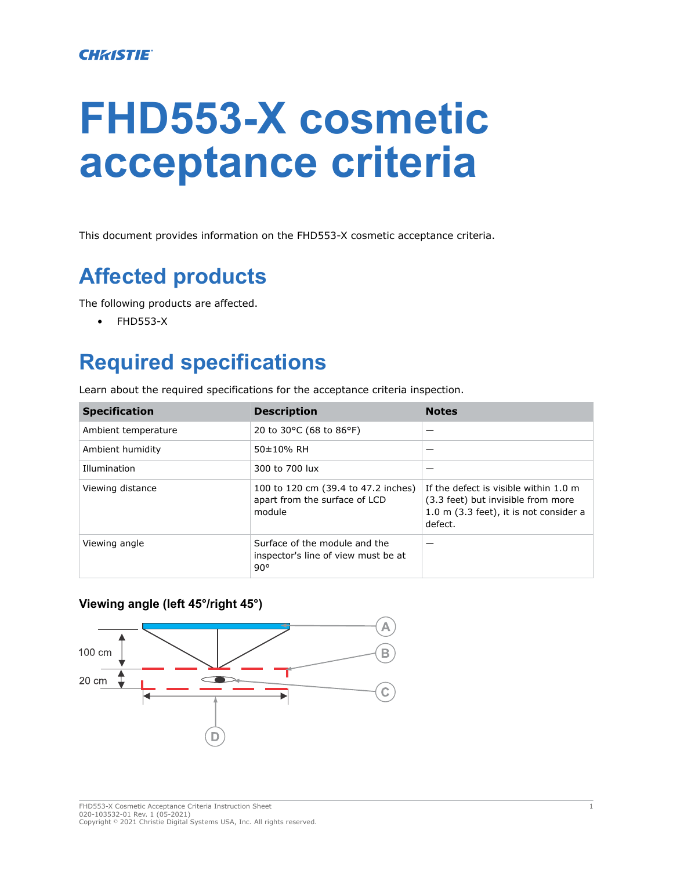# **FHD553-X cosmetic acceptance criteria**

This document provides information on the FHD553-X cosmetic acceptance criteria.

## **Affected products**

The following products are affected.

• FHD553-X

### **Required specifications**

Learn about the required specifications for the acceptance criteria inspection.

| <b>Specification</b> | <b>Description</b>                                                                   | <b>Notes</b>                                                                                                                         |
|----------------------|--------------------------------------------------------------------------------------|--------------------------------------------------------------------------------------------------------------------------------------|
| Ambient temperature  | 20 to 30°C (68 to 86°F)                                                              |                                                                                                                                      |
| Ambient humidity     | 50±10% RH                                                                            |                                                                                                                                      |
| Illumination         | 300 to 700 lux                                                                       |                                                                                                                                      |
| Viewing distance     | 100 to 120 cm (39.4 to 47.2 inches)<br>apart from the surface of LCD<br>module       | If the defect is visible within 1.0 m<br>(3.3 feet) but invisible from more<br>$1.0$ m $(3.3$ feet), it is not consider a<br>defect. |
| Viewing angle        | Surface of the module and the<br>inspector's line of view must be at<br>$90^{\circ}$ |                                                                                                                                      |

#### **Viewing angle (left 45°/right 45°)**

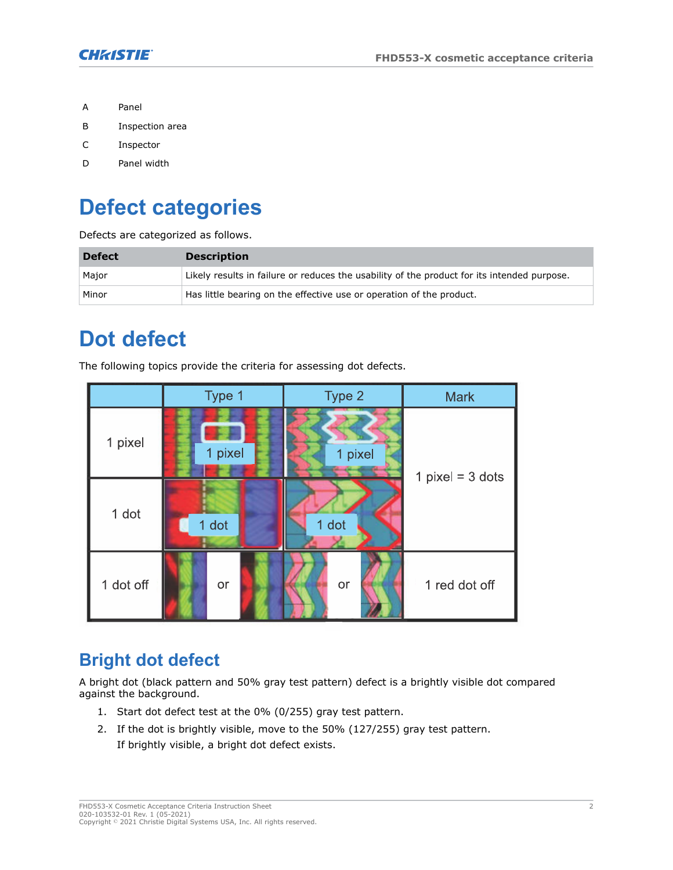

- A Panel
- B Inspection area
- C Inspector
- D Panel width

# **Defect categories**

Defects are categorized as follows.

| <b>Defect</b> | <b>Description</b>                                                                          |
|---------------|---------------------------------------------------------------------------------------------|
| Major         | Likely results in failure or reduces the usability of the product for its intended purpose. |
| Minor         | Has little bearing on the effective use or operation of the product.                        |

#### **Dot defect**

The following topics provide the criteria for assessing dot defects.



#### **Bright dot defect**

A bright dot (black pattern and 50% gray test pattern) defect is a brightly visible dot compared against the background.

- 1. Start dot defect test at the 0% (0/255) gray test pattern.
- 2. If the dot is brightly visible, move to the 50% (127/255) gray test pattern. If brightly visible, a bright dot defect exists.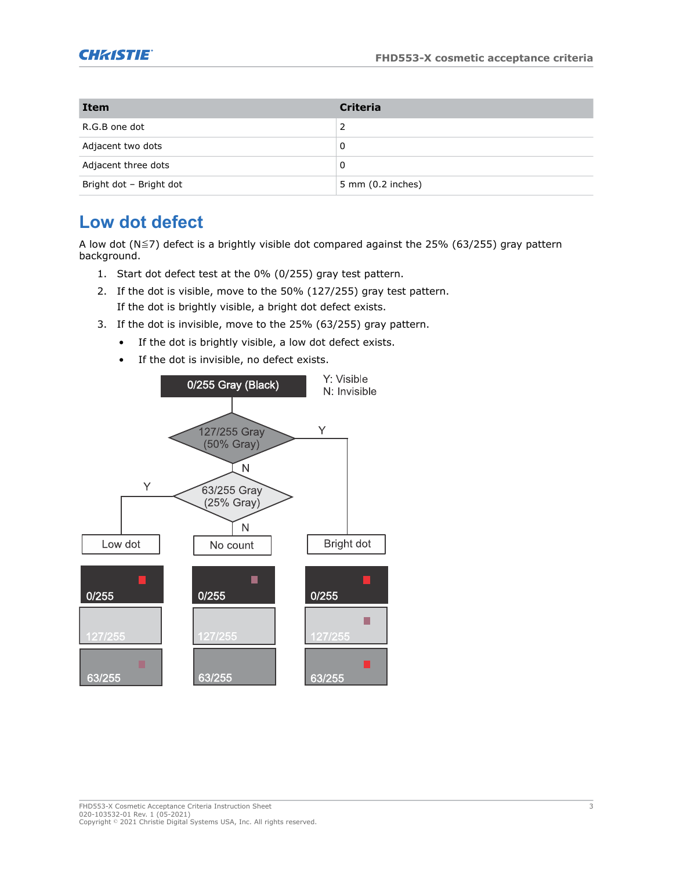

| <b>Item</b>             | <b>Criteria</b>             |
|-------------------------|-----------------------------|
| R.G.B one dot           |                             |
| Adjacent two dots       | 0                           |
| Adjacent three dots     | 0                           |
| Bright dot - Bright dot | $5 \text{ mm}$ (0.2 inches) |

#### **Low dot defect**

A low dot (N≦7) defect is a brightly visible dot compared against the 25% (63/255) gray pattern background.

- 1. Start dot defect test at the 0% (0/255) gray test pattern.
- 2. If the dot is visible, move to the 50% (127/255) gray test pattern. If the dot is brightly visible, a bright dot defect exists.
- 3. If the dot is invisible, move to the 25% (63/255) gray pattern.
	- If the dot is brightly visible, a low dot defect exists.
	- If the dot is invisible, no defect exists.

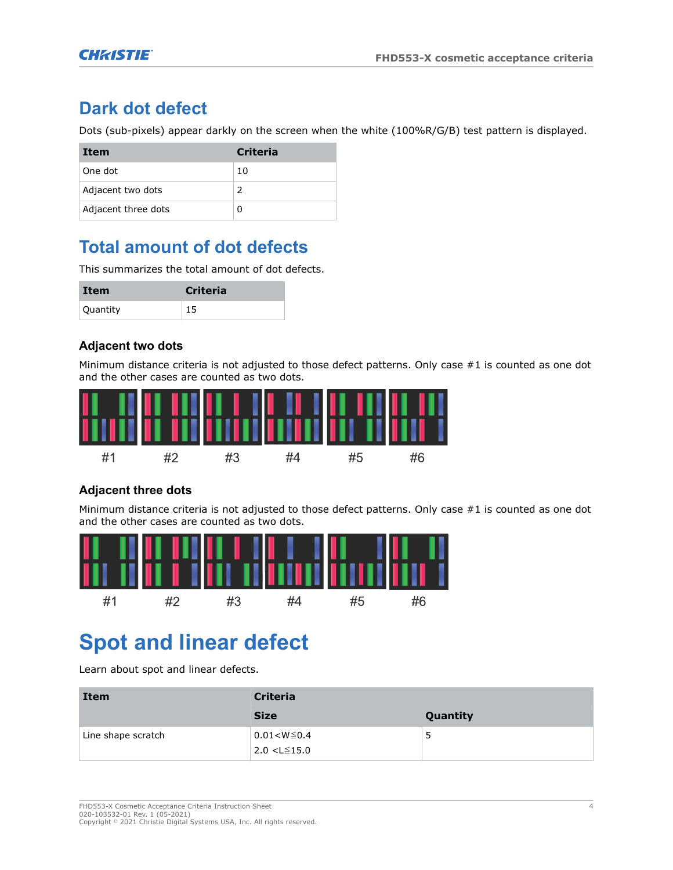#### **Dark dot defect**

Dots (sub-pixels) appear darkly on the screen when the white (100%R/G/B) test pattern is displayed.

| Item                | <b>Criteria</b> |
|---------------------|-----------------|
| One dot             | 10              |
| Adjacent two dots   | $\mathcal{P}$   |
| Adjacent three dots |                 |

#### **Total amount of dot defects**

This summarizes the total amount of dot defects.

| Item     | <b>Criteria</b> |
|----------|-----------------|
| Quantity | 15              |

#### **Adjacent two dots**

Minimum distance criteria is not adjusted to those defect patterns. Only case #1 is counted as one dot and the other cases are counted as two dots.



#### **Adjacent three dots**

Minimum distance criteria is not adjusted to those defect patterns. Only case #1 is counted as one dot and the other cases are counted as two dots.



# **Spot and linear defect**

Learn about spot and linear defects.

| <b>Item</b>        | <b>Criteria</b>                          |          |  |
|--------------------|------------------------------------------|----------|--|
|                    | <b>Size</b>                              | Quantity |  |
| Line shape scratch | $0.01 < W \le 0.4$<br>$2.0 < L \le 15.0$ | 5        |  |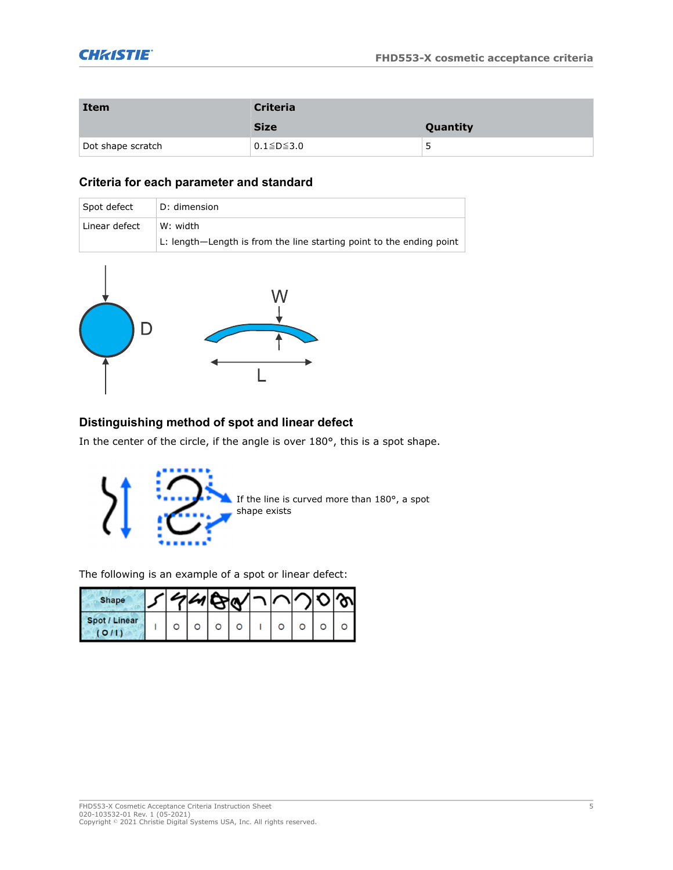| <b>Item</b>       | <b>Criteria</b>       |          |  |
|-------------------|-----------------------|----------|--|
|                   | <b>Size</b>           | Quantity |  |
| Dot shape scratch | $0.1 \leq D \leq 3.0$ | כ        |  |

#### **Criteria for each parameter and standard**

| Spot defect   | D: dimension                                                         |
|---------------|----------------------------------------------------------------------|
| Linear defect | W: width                                                             |
|               | L: length—Length is from the line starting point to the ending point |



#### **Distinguishing method of spot and linear defect**

In the center of the circle, if the angle is over 180°, this is a spot shape.



The following is an example of a spot or linear defect:

| <b>Shape</b>  |  |  |  |  |  |
|---------------|--|--|--|--|--|
| Spot / Linear |  |  |  |  |  |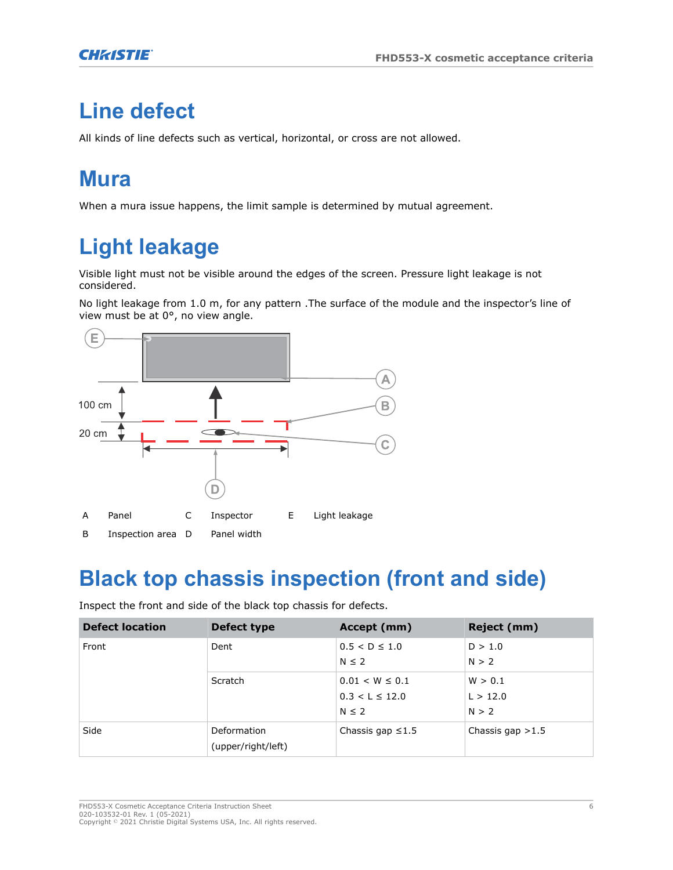### **Line defect**

All kinds of line defects such as vertical, horizontal, or cross are not allowed.

### **Mura**

When a mura issue happens, the limit sample is determined by mutual agreement.

# **Light leakage**

Visible light must not be visible around the edges of the screen. Pressure light leakage is not considered.

No light leakage from 1.0 m, for any pattern .The surface of the module and the inspector's line of view must be at 0°, no view angle.



#### **Black top chassis inspection (front and side)**

Inspect the front and side of the black top chassis for defects.

| <b>Defect location</b> | Defect type                       | Accept (mm)                                             | Reject (mm)                  |
|------------------------|-----------------------------------|---------------------------------------------------------|------------------------------|
| Front                  | Dent                              | $0.5 < D \le 1.0$<br>$N \leq 2$                         | D > 1.0<br>N > 2             |
|                        | Scratch                           | $0.01 < W \leq 0.1$<br>$0.3 < L \le 12.0$<br>$N \leq 2$ | W > 0.1<br>L > 12.0<br>N > 2 |
| Side                   | Deformation<br>(upper/right/left) | Chassis gap $\leq 1.5$                                  | Chassis gap $>1.5$           |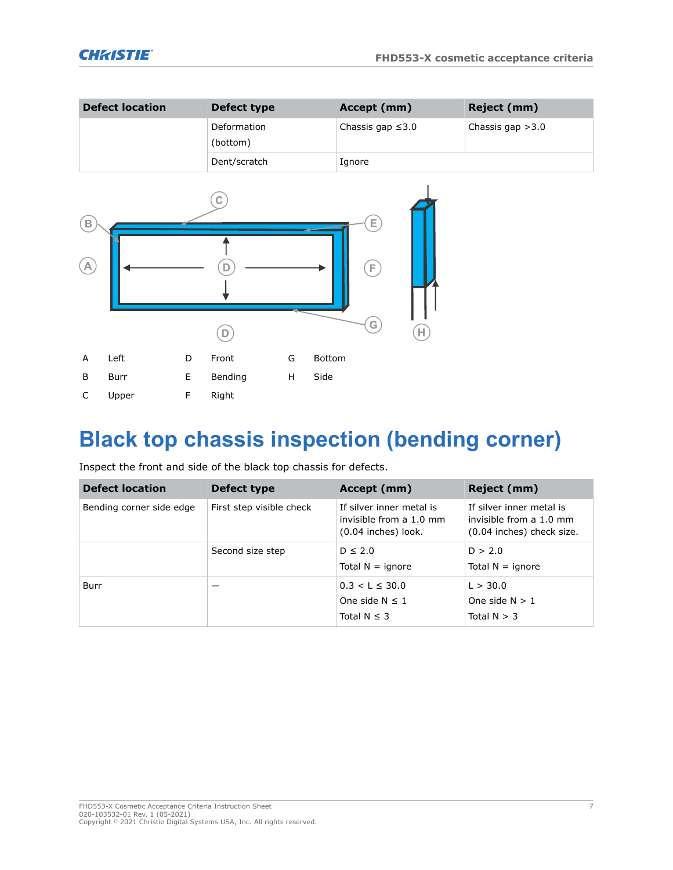| <b>Defect location</b> | Defect type             | Accept (mm)            | Reject (mm)        |
|------------------------|-------------------------|------------------------|--------------------|
|                        | Deformation<br>(bottom) | Chassis gap $\leq 3.0$ | Chassis gap $>3.0$ |
|                        | Dent/scratch            | Ignore                 |                    |



## **Black top chassis inspection (bending corner)**

Inspect the front and side of the black top chassis for defects.

| <b>Defect location</b>   | Defect type              | Accept (mm)                                                                | Reject (mm)                                                                      |
|--------------------------|--------------------------|----------------------------------------------------------------------------|----------------------------------------------------------------------------------|
| Bending corner side edge | First step visible check | If silver inner metal is<br>invisible from a 1.0 mm<br>(0.04 inches) look. | If silver inner metal is<br>invisible from a 1.0 mm<br>(0.04 inches) check size. |
|                          | Second size step         | $D \leq 2.0$<br>Total $N =$ ignore                                         | D > 2.0<br>Total $N =$ ignore                                                    |
| Burr                     |                          | $0.3 < L \leq 30.0$<br>One side $N \leq 1$<br>Total $N \leq 3$             | L > 30.0<br>One side $N > 1$<br>Total $N > 3$                                    |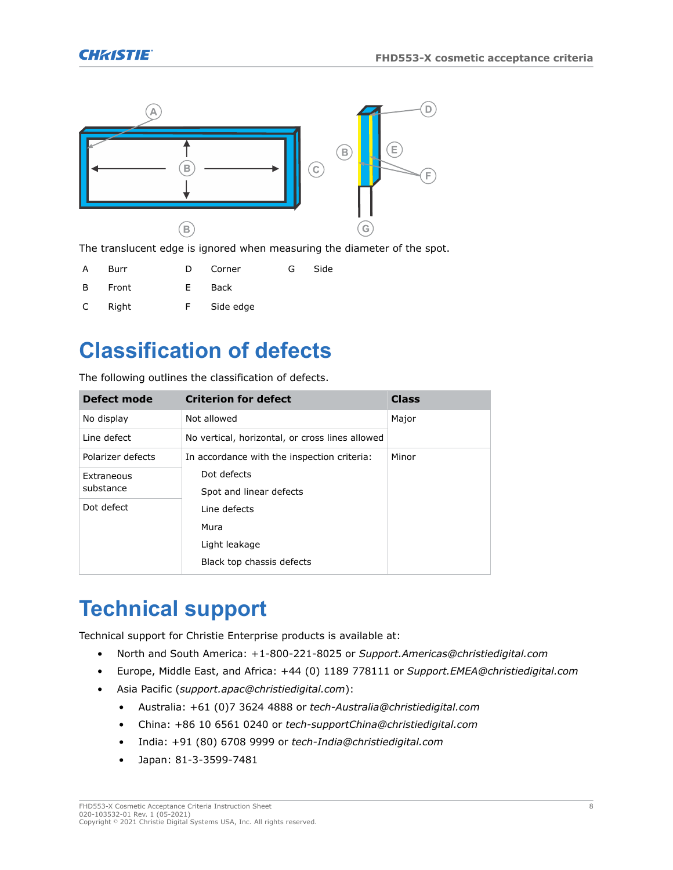

The translucent edge is ignored when measuring the diameter of the spot.

| A            | Burr  | Ð  | Corner    | G | Side |
|--------------|-------|----|-----------|---|------|
| B.           | Front | F. | Back      |   |      |
| $\mathsf{C}$ | Right | F. | Side edge |   |      |

### **Classification of defects**

The following outlines the classification of defects.

| Defect mode       | <b>Criterion for defect</b>                     | <b>Class</b> |  |
|-------------------|-------------------------------------------------|--------------|--|
| No display        | Not allowed                                     | Major        |  |
| Line defect       | No vertical, horizontal, or cross lines allowed |              |  |
| Polarizer defects | In accordance with the inspection criteria:     | Minor        |  |
| Extraneous        | Dot defects                                     |              |  |
| substance         | Spot and linear defects                         |              |  |
| Dot defect        | Line defects                                    |              |  |
|                   | Mura                                            |              |  |
|                   | Light leakage                                   |              |  |
|                   | Black top chassis defects                       |              |  |

### **Technical support**

Technical support for Christie Enterprise products is available at:

- North and South America: +1-800-221-8025 or *[Support.Americas@christiedigital.com](mailto:Support.Americas@christiedigital.com)*
- Europe, Middle East, and Africa: +44 (0) 1189 778111 or *[Support.EMEA@christiedigital.com](mailto:Support.EMEA@christiedigital.com)*
- Asia Pacific (*[support.apac@christiedigital.com](mailto:support.apac@christiedigital.com)*):
	- Australia: +61 (0)7 3624 4888 or *[tech-Australia@christiedigital.com](mailto:tech-Australia@christiedigital.com)*
	- China: +86 10 6561 0240 or *[tech-supportChina@christiedigital.com](mailto:tech-supportChina@christiedigital.com)*
	- India: +91 (80) 6708 9999 or *[tech-India@christiedigital.com](mailto:tech-India@christiedigital.com)*
	- Japan: 81-3-3599-7481